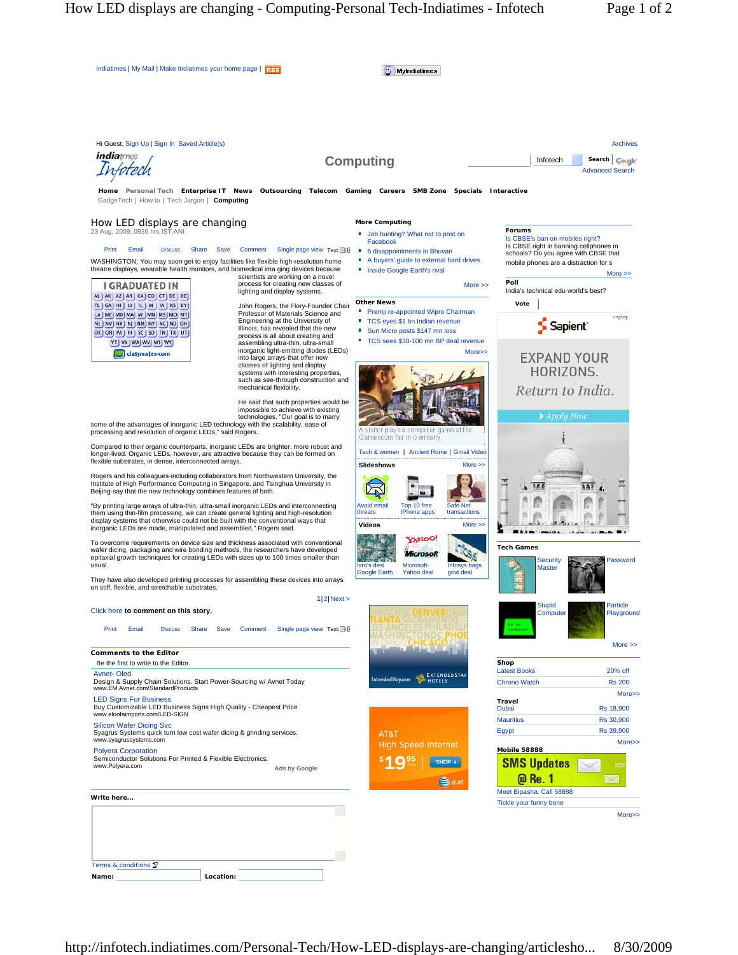| Indiatimes   My Mail   Make Indiatimes your home page   RSS                                                                                                                                                                        |                                                                            | <b>MyIndiatimes</b>                                                                                    |                                                                                |
|------------------------------------------------------------------------------------------------------------------------------------------------------------------------------------------------------------------------------------|----------------------------------------------------------------------------|--------------------------------------------------------------------------------------------------------|--------------------------------------------------------------------------------|
|                                                                                                                                                                                                                                    |                                                                            |                                                                                                        |                                                                                |
| Hi Guest, Sign Up   Sign In Saved Article(s)<br><i>indiatimes</i>                                                                                                                                                                  |                                                                            |                                                                                                        | <b>Archives</b><br>Infotech<br>Search                                          |
|                                                                                                                                                                                                                                    |                                                                            | <b>Computing</b>                                                                                       | Coogle<br><b>Advanced Search</b>                                               |
| GadgeTech   How to   Tech Jargon   Computing                                                                                                                                                                                       |                                                                            | Home Personal Tech Enterprise IT News Outsourcing Telecom Gaming Careers SMB Zone Specials Interactive |                                                                                |
| How LED displays are changing                                                                                                                                                                                                      |                                                                            | <b>More Computing</b>                                                                                  |                                                                                |
| 23 Aug, 2009, 0936 hrs IST, ANI                                                                                                                                                                                                    |                                                                            | Job hunting? What not to post on<br>a.<br>Facebook                                                     | Forums<br>Is CBSE's ban on mobiles right?                                      |
| Print<br>Email<br><b>Discuss</b><br>Share                                                                                                                                                                                          | Save<br>Comment<br>Single page view Text: $\Box$ E                         | 6 disappointments in Bhuvan<br>世                                                                       | Is CBSE right in banning cellphones in<br>schools? Do you agree with CBSE that |
| WASHINGTON: You may soon get to enjoy facilities like flexible high-resolution home<br>theatre displays, wearable health monitors, and biomedical ima ging devices because                                                         |                                                                            | A buyers' guide to external hard drives<br>Inside Google Earth's rival                                 | mobile phones are a distraction for s<br>$More \gg$                            |
| <b>I GRADUATED IN</b>                                                                                                                                                                                                              | scientists are working on a novel<br>process for creating new classes of   | More $\gg$                                                                                             | Poll                                                                           |
| AL AK AZ AR CA CO CT DE DC                                                                                                                                                                                                         | lighting and display systems.                                              | <b>Other News</b>                                                                                      | India's technical edu world's best?                                            |
| FL GA HI ID IL IN IA KS KY<br>LA ME MD MA MI MN MS MO MT                                                                                                                                                                           | John Rogers, the Flory-Founder Chair<br>Professor of Materials Science and | Premji re-appointed Wipro Chairman                                                                     | Vote<br>replay                                                                 |
| NE NV NH NJ NM NY NC ND OH<br>OK OR PA RISC SD TN TX UT                                                                                                                                                                            | Engineering at the University of<br>Illinois, has revealed that the new    | TCS eyes \$1 bn Indian revenue<br>×.<br>Sun Micro posts \$147 mn loss                                  | S Sapient <sup>®</sup>                                                         |
| VT   VA   WA   WV   WI   WY                                                                                                                                                                                                        | process is all about creating and<br>assembling ultra-thin, ultra-small    | TCS sees \$30-100 mn BP deal revenue                                                                   |                                                                                |
| classmates-com                                                                                                                                                                                                                     | inorganic light-emitting diodes (LEDs)<br>into large arrays that offer new | More>>                                                                                                 | <b>EXPAND YOUR</b>                                                             |
|                                                                                                                                                                                                                                    | classes of lighting and display<br>systems with interesting properties,    |                                                                                                        | HORIZONS.                                                                      |
|                                                                                                                                                                                                                                    | such as see-through construction and<br>mechanical flexibility.            |                                                                                                        | Return to India.                                                               |
|                                                                                                                                                                                                                                    | He said that such properties would be                                      |                                                                                                        |                                                                                |
|                                                                                                                                                                                                                                    | impossible to achieve with existing<br>technologies. "Our goal is to marry |                                                                                                        | $\blacktriangleright$ Apply Now                                                |
| some of the advantages of inorganic LED technology with the scalability, ease of<br>processing and resolution of organic LEDs," said Rogers.                                                                                       |                                                                            | visitor plays a computer game at the<br>Gamescom fair in Germany.                                      |                                                                                |
| Compared to their organic counterparts, inorganic LEDs are brighter, more robust and<br>longer-lived. Organic LEDs, however, are attractive because they can be formed on<br>flexible substrates, in dense, interconnected arrays. |                                                                            | Tech & women   Ancient Rome   Gmail Video                                                              |                                                                                |
|                                                                                                                                                                                                                                    |                                                                            | <b>Slideshows</b><br>More $\gg$                                                                        |                                                                                |
| Rogers and his colleagues-including collaborators from Northwestern University, the                                                                                                                                                |                                                                            |                                                                                                        |                                                                                |
| Institute of High Performance Computing in Singapore, and Tsinghua University in<br>Beijing-say that the new technology combines features of both.                                                                                 |                                                                            |                                                                                                        | <b>FEE</b>                                                                     |
| "By printing large arrays of ultra-thin, ultra-small inorganic LEDs and interconnecting<br>them using thin-film processing, we can create general lighting and high-resolution                                                     |                                                                            | <b>Avoid email</b><br>Top 10 free<br>Safe Net<br>threats<br>iPhone apps<br>transactions                |                                                                                |
| display systems that otherwise could not be built with the conventional ways that<br>inorganic LEDs are made, manipulated and assembled," Rogers said.                                                                             |                                                                            | Videos<br>$More \gg$                                                                                   |                                                                                |
| To overcome requirements on device size and thickness associated with conventional                                                                                                                                                 |                                                                            | <b>VAHOO!</b>                                                                                          |                                                                                |
| wafer dicing, packaging and wire bonding methods, the researchers have developed<br>epitaxial growth techniques for creating LEDs with sizes up to 100 times smaller than                                                          |                                                                            | Microsoft                                                                                              | <b>Tech Games</b>                                                              |
| usual.                                                                                                                                                                                                                             |                                                                            | Microsoft-<br>Isro's desi<br>Infosys bags<br><b>Google Earth</b><br>Yahoo deal<br>govt deal            | <b>Security</b><br>Password<br><b>Master</b>                                   |
| They have also developed printing processes for assembling these devices into arrays<br>on stiff, flexible, and stretchable substrates.                                                                                            |                                                                            |                                                                                                        |                                                                                |
|                                                                                                                                                                                                                                    | $1 2 $ Next >                                                              |                                                                                                        | Particle                                                                       |
| Click here to comment on this story.                                                                                                                                                                                               |                                                                            |                                                                                                        | <b>Stupid</b><br>Playground<br>Computer                                        |
| Print<br>Email<br><b>Discuss</b><br>Share                                                                                                                                                                                          | Comment<br>Single page view Text:□ E<br>Save                               |                                                                                                        |                                                                                |
|                                                                                                                                                                                                                                    |                                                                            |                                                                                                        | More $\gg$                                                                     |
| <b>Comments to the Editor</b><br>Be the first to write to the Editor.                                                                                                                                                              |                                                                            |                                                                                                        | Shop                                                                           |
| <b>Avnet-Oled</b><br>Design & Supply Chain Solutions. Start Power-Sourcing w/ Avnet Today                                                                                                                                          |                                                                            | <b>EXTENDEDSTAY</b><br>ExtendedStay.com<br>HOTELS                                                      | <b>Latest Books</b><br>20% off                                                 |
| www.EM.Avnet.com/StandardProducts                                                                                                                                                                                                  |                                                                            |                                                                                                        | <b>Chrono Watch</b><br><b>Rs 200</b><br>More>>                                 |
| <b>LED Signs For Business</b><br>Buy Customizable LED Business Signs High Quality - Cheapest Price                                                                                                                                 |                                                                            |                                                                                                        | <b>Travel</b><br>Dubai<br>Rs 18,900                                            |
| www.eloofaimports.com/LED-SIGN<br><b>Silicon Wafer Dicing Svc</b>                                                                                                                                                                  |                                                                            |                                                                                                        | <b>Mauritius</b><br>Rs 30,900                                                  |
| Syagrus Systems quick turn low cost wafer dicing & grinding services.<br>www.syagrussystems.com                                                                                                                                    |                                                                            | AT&T                                                                                                   | Rs 39,900<br>Egypt                                                             |
| <b>Polyera Corporation</b>                                                                                                                                                                                                         |                                                                            | <b>High Speed Internet</b>                                                                             | More>><br>Mobile 58888                                                         |
| Semiconductor Solutions For Printed & Flexible Electronics.<br>www.Polyera.com                                                                                                                                                     | Ads by Google                                                              | SHOP >                                                                                                 | <b>SMS Updates</b>                                                             |
|                                                                                                                                                                                                                                    |                                                                            | atst                                                                                                   | @ Re. 1                                                                        |
| Write here                                                                                                                                                                                                                         |                                                                            |                                                                                                        | Meet Bipasha. Call 58888<br>Tickle your funny bone                             |
|                                                                                                                                                                                                                                    |                                                                            |                                                                                                        | More>>                                                                         |
|                                                                                                                                                                                                                                    |                                                                            |                                                                                                        |                                                                                |
|                                                                                                                                                                                                                                    |                                                                            |                                                                                                        |                                                                                |
|                                                                                                                                                                                                                                    |                                                                            |                                                                                                        |                                                                                |
| Terms & conditions                                                                                                                                                                                                                 |                                                                            |                                                                                                        |                                                                                |